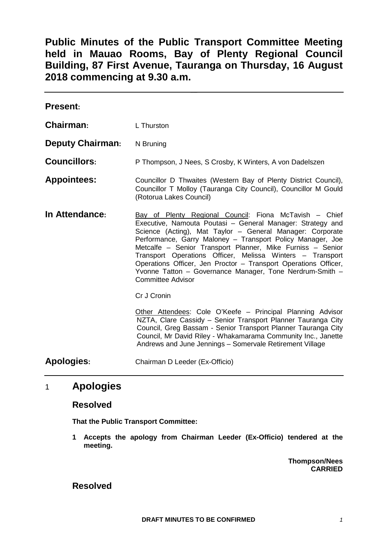**Public Minutes of the Public Transport Committee Meeting held in Mauao Rooms, Bay of Plenty Regional Council Building, 87 First Avenue, Tauranga on Thursday, 16 August 2018 commencing at 9.30 a.m.**

| <b>Present:</b>         |                                                                                                                                                                                                                                                                                                                                                                                                                                                                                                                                       |  |
|-------------------------|---------------------------------------------------------------------------------------------------------------------------------------------------------------------------------------------------------------------------------------------------------------------------------------------------------------------------------------------------------------------------------------------------------------------------------------------------------------------------------------------------------------------------------------|--|
| Chairman:               | L Thurston                                                                                                                                                                                                                                                                                                                                                                                                                                                                                                                            |  |
| <b>Deputy Chairman:</b> | N Bruning                                                                                                                                                                                                                                                                                                                                                                                                                                                                                                                             |  |
| <b>Councillors:</b>     | P Thompson, J Nees, S Crosby, K Winters, A von Dadelszen                                                                                                                                                                                                                                                                                                                                                                                                                                                                              |  |
| <b>Appointees:</b>      | Councillor D Thwaites (Western Bay of Plenty District Council),<br>Councillor T Molloy (Tauranga City Council), Councillor M Gould<br>(Rotorua Lakes Council)                                                                                                                                                                                                                                                                                                                                                                         |  |
| In Attendance:          | Bay of Plenty Regional Council: Fiona McTavish – Chief<br>Executive, Namouta Poutasi – General Manager: Strategy and<br>Science (Acting), Mat Taylor - General Manager: Corporate<br>Performance, Garry Maloney - Transport Policy Manager, Joe<br>Metcalfe - Senior Transport Planner, Mike Furniss - Senior<br>Transport Operations Officer, Melissa Winters - Transport<br>Operations Officer, Jen Proctor - Transport Operations Officer,<br>Yvonne Tatton - Governance Manager, Tone Nerdrum-Smith -<br><b>Committee Advisor</b> |  |
|                         | Cr J Cronin                                                                                                                                                                                                                                                                                                                                                                                                                                                                                                                           |  |
|                         | Other Attendees: Cole O'Keefe - Principal Planning Advisor<br>NZTA, Clare Cassidy - Senior Transport Planner Tauranga City<br>Council, Greg Bassam - Senior Transport Planner Tauranga City<br>Council, Mr David Riley - Whakamarama Community Inc., Janette<br>Andrews and June Jennings - Somervale Retirement Village                                                                                                                                                                                                              |  |
| <b>Apologies:</b>       | Chairman D Leeder (Ex-Officio)                                                                                                                                                                                                                                                                                                                                                                                                                                                                                                        |  |

# 1 **Apologies**

### **Resolved**

**That the Public Transport Committee:**

**1 Accepts the apology from Chairman Leeder (Ex-Officio) tendered at the meeting.**

> **Thompson/Nees CARRIED**

## **Resolved**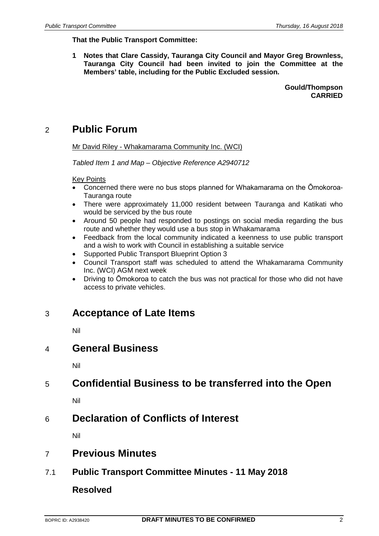#### **That the Public Transport Committee:**

**1 Notes that Clare Cassidy, Tauranga City Council and Mayor Greg Brownless, Tauranga City Council had been invited to join the Committee at the Members' table, including for the Public Excluded session.**

> **Gould/Thompson CARRIED**

# 2 **Public Forum**

Mr David Riley - Whakamarama Community Inc. (WCI)

*Tabled Item 1 and Map – Objective Reference A2940712*

#### Key Points

- Concerned there were no bus stops planned for Whakamarama on the Ōmokoroa-Tauranga route
- There were approximately 11,000 resident between Tauranga and Katikati who would be serviced by the bus route
- Around 50 people had responded to postings on social media regarding the bus route and whether they would use a bus stop in Whakamarama
- Feedback from the local community indicated a keenness to use public transport and a wish to work with Council in establishing a suitable service
- Supported Public Transport Blueprint Option 3
- Council Transport staff was scheduled to attend the Whakamarama Community Inc. (WCI) AGM next week
- Driving to Ōmokoroa to catch the bus was not practical for those who did not have access to private vehicles.

## 3 **Acceptance of Late Items**

Nil

## 4 **General Business**

Nil

# 5 **Confidential Business to be transferred into the Open**

Nil

# 6 **Declaration of Conflicts of Interest**

Nil

## 7 **Previous Minutes**

## 7.1 **Public Transport Committee Minutes - 11 May 2018**

### **Resolved**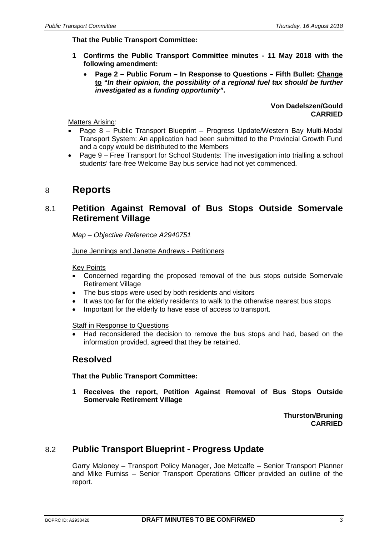#### **That the Public Transport Committee:**

- **1 Confirms the Public Transport Committee minutes - 11 May 2018 with the following amendment:**
	- **Page 2 – Public Forum – In Response to Questions – Fifth Bullet: Change to** *"In their opinion, the possibility of a regional fuel tax should be further investigated as a funding opportunity"***.**

**Von Dadelszen/Gould CARRIED**

Matters Arising:

- Page 8 Public Transport Blueprint Progress Update/Western Bay Multi-Modal Transport System: An application had been submitted to the Provincial Growth Fund and a copy would be distributed to the Members
- Page 9 Free Transport for School Students: The investigation into trialling a school students' fare-free Welcome Bay bus service had not yet commenced.

## 8 **Reports**

## 8.1 **Petition Against Removal of Bus Stops Outside Somervale Retirement Village**

*Map – Objective Reference A2940751*

June Jennings and Janette Andrews - Petitioners

Key Points

- Concerned regarding the proposed removal of the bus stops outside Somervale Retirement Village
- The bus stops were used by both residents and visitors
- It was too far for the elderly residents to walk to the otherwise nearest bus stops
- Important for the elderly to have ease of access to transport.

Staff in Response to Questions

• Had reconsidered the decision to remove the bus stops and had, based on the information provided, agreed that they be retained.

### **Resolved**

**That the Public Transport Committee:**

**1 Receives the report, Petition Against Removal of Bus Stops Outside Somervale Retirement Village**

> **Thurston/Bruning CARRIED**

## 8.2 **Public Transport Blueprint - Progress Update**

Garry Maloney – Transport Policy Manager, Joe Metcalfe – Senior Transport Planner and Mike Furniss – Senior Transport Operations Officer provided an outline of the report.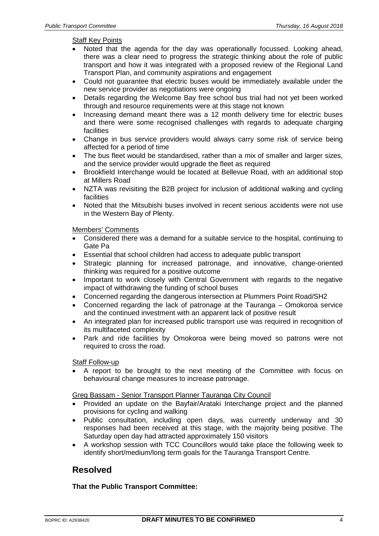#### Staff Key Points

- Noted that the agenda for the day was operationally focussed. Looking ahead, there was a clear need to progress the strategic thinking about the role of public transport and how it was integrated with a proposed review of the Regional Land Transport Plan, and community aspirations and engagement
- Could not guarantee that electric buses would be immediately available under the new service provider as negotiations were ongoing
- Details regarding the Welcome Bay free school bus trial had not yet been worked through and resource requirements were at this stage not known
- Increasing demand meant there was a 12 month delivery time for electric buses and there were some recognised challenges with regards to adequate charging **facilities**
- Change in bus service providers would always carry some risk of service being affected for a period of time
- The bus fleet would be standardised, rather than a mix of smaller and larger sizes, and the service provider would upgrade the fleet as required
- Brookfield Interchange would be located at Bellevue Road, with an additional stop at Millers Road
- NZTA was revisiting the B2B project for inclusion of additional walking and cycling facilities
- Noted that the Mitsubishi buses involved in recent serious accidents were not use in the Western Bay of Plenty.

#### Members' Comments

- Considered there was a demand for a suitable service to the hospital, continuing to Gate Pa
- Essential that school children had access to adequate public transport
- Strategic planning for increased patronage, and innovative, change-oriented thinking was required for a positive outcome
- Important to work closely with Central Government with regards to the negative impact of withdrawing the funding of school buses
- Concerned regarding the dangerous intersection at Plummers Point Road/SH2
- Concerned regarding the lack of patronage at the Tauranga Omokoroa service and the continued investment with an apparent lack of positive result
- An integrated plan for increased public transport use was required in recognition of its multifaceted complexity
- Park and ride facilities by Omokoroa were being moved so patrons were not required to cross the road.

#### Staff Follow-up

A report to be brought to the next meeting of the Committee with focus on behavioural change measures to increase patronage.

#### Greg Bassam - Senior Transport Planner Tauranga City Council

- Provided an update on the Bayfair/Arataki Interchange project and the planned provisions for cycling and walking
- Public consultation, including open days, was currently underway and 30 responses had been received at this stage, with the majority being positive. The Saturday open day had attracted approximately 150 visitors
- A workshop session with TCC Councillors would take place the following week to identify short/medium/long term goals for the Tauranga Transport Centre.

## **Resolved**

#### **That the Public Transport Committee:**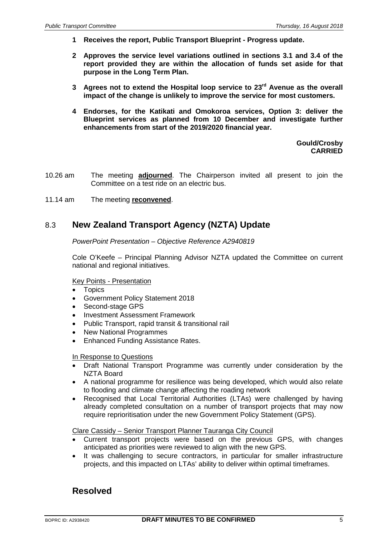- **1 Receives the report, Public Transport Blueprint - Progress update.**
- **2 Approves the service level variations outlined in sections 3.1 and 3.4 of the report provided they are within the allocation of funds set aside for that purpose in the Long Term Plan.**
- **3 Agrees not to extend the Hospital loop service to 23rd Avenue as the overall impact of the change is unlikely to improve the service for most customers.**
- **4 Endorses, for the Katikati and Omokoroa services, Option 3: deliver the Blueprint services as planned from 10 December and investigate further enhancements from start of the 2019/2020 financial year.**

**Gould/Crosby CARRIED**

- 10.26 am The meeting **adjourned**. The Chairperson invited all present to join the Committee on a test ride on an electric bus.
- 11.14 am The meeting **reconvened**.

## 8.3 **New Zealand Transport Agency (NZTA) Update**

*PowerPoint Presentation – Objective Reference A2940819*

Cole O'Keefe – Principal Planning Advisor NZTA updated the Committee on current national and regional initiatives.

#### Key Points - Presentation

- Topics
- Government Policy Statement 2018
- Second-stage GPS
- Investment Assessment Framework
- Public Transport, rapid transit & transitional rail
- New National Programmes
- Enhanced Funding Assistance Rates.

#### In Response to Questions

- Draft National Transport Programme was currently under consideration by the NZTA Board
- A national programme for resilience was being developed, which would also relate to flooding and climate change affecting the roading network
- Recognised that Local Territorial Authorities (LTAs) were challenged by having already completed consultation on a number of transport projects that may now require reprioritisation under the new Government Policy Statement (GPS).

#### Clare Cassidy – Senior Transport Planner Tauranga City Council

- Current transport projects were based on the previous GPS, with changes anticipated as priorities were reviewed to align with the new GPS.
- It was challenging to secure contractors, in particular for smaller infrastructure projects, and this impacted on LTAs' ability to deliver within optimal timeframes.

## **Resolved**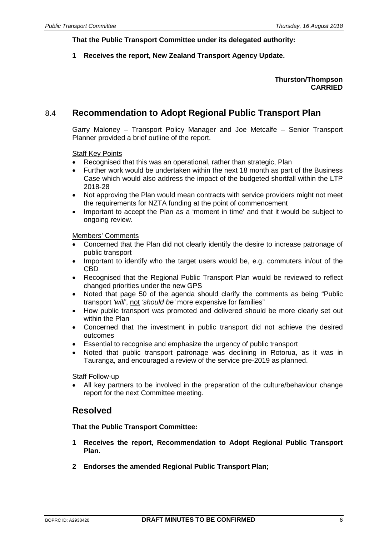**That the Public Transport Committee under its delegated authority:**

**1 Receives the report, New Zealand Transport Agency Update.**

#### **Thurston/Thompson CARRIED**

## 8.4 **Recommendation to Adopt Regional Public Transport Plan**

Garry Maloney – Transport Policy Manager and Joe Metcalfe – Senior Transport Planner provided a brief outline of the report.

#### **Staff Key Points**

- Recognised that this was an operational, rather than strategic, Plan
- Further work would be undertaken within the next 18 month as part of the Business Case which would also address the impact of the budgeted shortfall within the LTP 2018-28
- Not approving the Plan would mean contracts with service providers might not meet the requirements for NZTA funding at the point of commencement
- Important to accept the Plan as a 'moment in time' and that it would be subject to ongoing review.

#### Members' Comments

- Concerned that the Plan did not clearly identify the desire to increase patronage of public transport
- Important to identify who the target users would be, e.g. commuters in/out of the CBD
- Recognised that the Regional Public Transport Plan would be reviewed to reflect changed priorities under the new GPS
- Noted that page 50 of the agenda should clarify the comments as being "Public transport *'will'*, not *'should be'* more expensive for families"
- How public transport was promoted and delivered should be more clearly set out within the Plan
- Concerned that the investment in public transport did not achieve the desired outcomes
- Essential to recognise and emphasize the urgency of public transport
- Noted that public transport patronage was declining in Rotorua, as it was in Tauranga, and encouraged a review of the service pre-2019 as planned.

Staff Follow-up

• All key partners to be involved in the preparation of the culture/behaviour change report for the next Committee meeting.

### **Resolved**

#### **That the Public Transport Committee:**

- **1 Receives the report, Recommendation to Adopt Regional Public Transport Plan.**
- **2 Endorses the amended Regional Public Transport Plan;**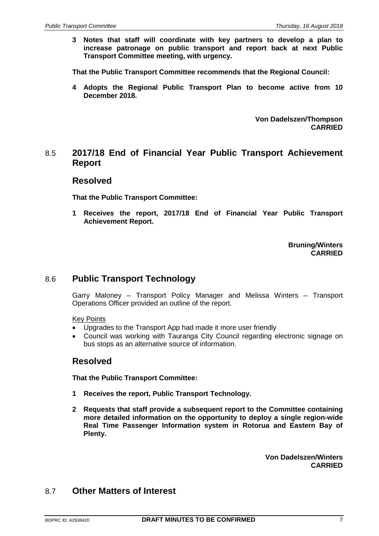**3 Notes that staff will coordinate with key partners to develop a plan to increase patronage on public transport and report back at next Public Transport Committee meeting, with urgency.**

**That the Public Transport Committee recommends that the Regional Council:**

**4 Adopts the Regional Public Transport Plan to become active from 10 December 2018.**

> **Von Dadelszen/Thompson CARRIED**

### 8.5 **2017/18 End of Financial Year Public Transport Achievement Report**

#### **Resolved**

**That the Public Transport Committee:**

**1 Receives the report, 2017/18 End of Financial Year Public Transport Achievement Report.**

> **Bruning/Winters CARRIED**

### 8.6 **Public Transport Technology**

Garry Maloney – Transport Policy Manager and Melissa Winters – Transport Operations Officer provided an outline of the report.

#### Key Points

- Upgrades to the Transport App had made it more user friendly
- Council was working with Tauranga City Council regarding electronic signage on bus stops as an alternative source of information.

### **Resolved**

**That the Public Transport Committee:**

- **1 Receives the report, Public Transport Technology.**
- **2 Requests that staff provide a subsequent report to the Committee containing more detailed information on the opportunity to deploy a single region-wide Real Time Passenger Information system in Rotorua and Eastern Bay of Plenty.**

**Von Dadelszen/Winters CARRIED**

## 8.7 **Other Matters of Interest**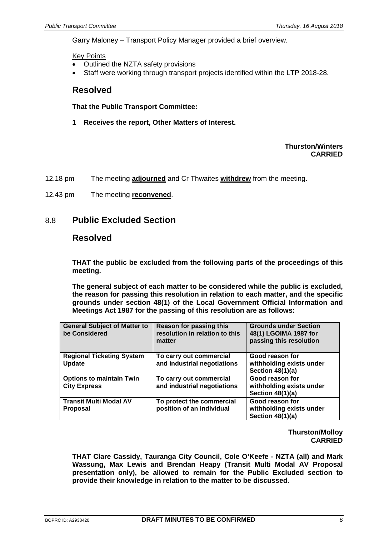Garry Maloney – Transport Policy Manager provided a brief overview.

Key Points

- Outlined the NZTA safety provisions
- Staff were working through transport projects identified within the LTP 2018-28.

### **Resolved**

**That the Public Transport Committee:**

**1 Receives the report, Other Matters of Interest.**

#### **Thurston/Winters CARRIED**

- 12.18 pm The meeting **adjourned** and Cr Thwaites **withdrew** from the meeting.
- 12.43 pm The meeting **reconvened**.

### 8.8 **Public Excluded Section**

### **Resolved**

**THAT the public be excluded from the following parts of the proceedings of this meeting.**

**The general subject of each matter to be considered while the public is excluded, the reason for passing this resolution in relation to each matter, and the specific grounds under section 48(1) of the Local Government Official Information and Meetings Act 1987 for the passing of this resolution are as follows:**

| <b>General Subject of Matter to</b><br>be Considered   | Reason for passing this<br>resolution in relation to this<br>matter | <b>Grounds under Section</b><br>48(1) LGOIMA 1987 for<br>passing this resolution |
|--------------------------------------------------------|---------------------------------------------------------------------|----------------------------------------------------------------------------------|
| <b>Regional Ticketing System</b><br><b>Update</b>      | To carry out commercial<br>and industrial negotiations              | Good reason for<br>withholding exists under<br>Section 48(1)(a)                  |
| <b>Options to maintain Twin</b><br><b>City Express</b> | To carry out commercial<br>and industrial negotiations              | Good reason for<br>withholding exists under<br>Section 48(1)(a)                  |
| <b>Transit Multi Modal AV</b><br><b>Proposal</b>       | To protect the commercial<br>position of an individual              | Good reason for<br>withholding exists under<br>Section 48(1)(a)                  |

**Thurston/Molloy CARRIED**

**THAT Clare Cassidy, Tauranga City Council, Cole O'Keefe - NZTA (all) and Mark Wassung, Max Lewis and Brendan Heapy (Transit Multi Modal AV Proposal presentation only), be allowed to remain for the Public Excluded section to provide their knowledge in relation to the matter to be discussed.**